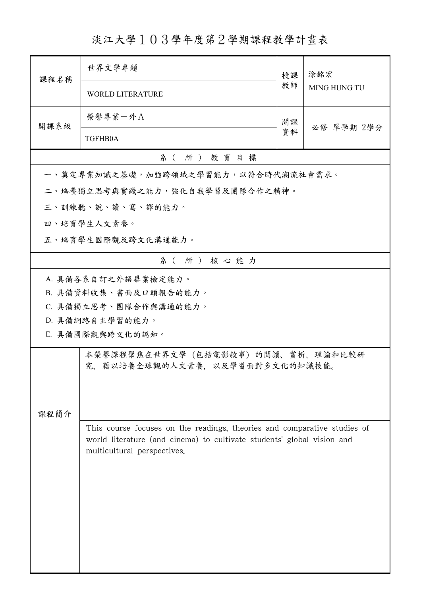## 淡江大學103學年度第2學期課程教學計畫表

| 課程名稱             | 世界文學專題                                                                   |          |                     |  |  |
|------------------|--------------------------------------------------------------------------|----------|---------------------|--|--|
|                  |                                                                          | 授課<br>教師 | 涂銘宏<br>MING HUNG TU |  |  |
|                  | <b>WORLD LITERATURE</b>                                                  |          |                     |  |  |
| 開課系級             | 榮譽專業一外A                                                                  | 開課       |                     |  |  |
|                  | TGFHB0A                                                                  | 資料       | 必修 單學期 2學分          |  |  |
| 系(所)教育目標         |                                                                          |          |                     |  |  |
|                  | 一、奠定專業知識之基礎,加強跨領域之學習能力,以符合時代潮流社會需求。                                      |          |                     |  |  |
|                  | 二、培養獨立思考與實踐之能力,強化自我學習及團隊合作之精神。                                           |          |                     |  |  |
|                  | 三、訓練聽、說、讀、寫、譯的能力。                                                        |          |                     |  |  |
|                  | 四、培育學生人文素養。                                                              |          |                     |  |  |
|                  | 五、培育學生國際觀及跨文化溝通能力。                                                       |          |                     |  |  |
| 系(所)核心能力         |                                                                          |          |                     |  |  |
|                  | A. 具備各系自訂之外語畢業檢定能力。                                                      |          |                     |  |  |
|                  | B. 具備資料收集、書面及口頭報告的能力。                                                    |          |                     |  |  |
|                  | C. 具備獨立思考、團隊合作與溝通的能力。                                                    |          |                     |  |  |
|                  | D. 具備網路自主學習的能力。                                                          |          |                     |  |  |
| E. 具備國際觀與跨文化的認知。 |                                                                          |          |                     |  |  |
|                  | 本榮譽課程聚焦在世界文學(包括電影敘事)的閱讀、賞析、理論和比較研<br>究,藉以培養全球觀的人文素養,以及學習面對多文化的知識技能。      |          |                     |  |  |
|                  |                                                                          |          |                     |  |  |
|                  |                                                                          |          |                     |  |  |
| 課程簡介             |                                                                          |          |                     |  |  |
|                  | This course focuses on the readings, theories and comparative studies of |          |                     |  |  |
|                  | world literature (and cinema) to cultivate students' global vision and   |          |                     |  |  |
|                  | multicultural perspectives.                                              |          |                     |  |  |
|                  |                                                                          |          |                     |  |  |
|                  |                                                                          |          |                     |  |  |
|                  |                                                                          |          |                     |  |  |
|                  |                                                                          |          |                     |  |  |
|                  |                                                                          |          |                     |  |  |
|                  |                                                                          |          |                     |  |  |
|                  |                                                                          |          |                     |  |  |
|                  |                                                                          |          |                     |  |  |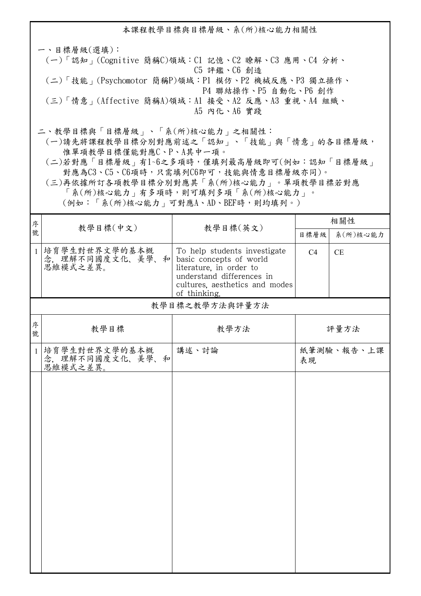本課程教學目標與目標層級、系(所)核心能力相關性 一、目標層級(選填): (一)「認知」(Cognitive 簡稱C)領域:C1 記憶、C2 瞭解、C3 應用、C4 分析、 C5 評鑑、C6 創造 (二)「技能」(Psychomotor 簡稱P)領域:P1 模仿、P2 機械反應、P3 獨立操作、 P4 聯結操作、P5 自動化、P6 創作 (三)「情意」(Affective 簡稱A)領域:A1 接受、A2 反應、A3 重視、A4 組織、 A5 內化、A6 實踐 二、教學目標與「目標層級」、「系(所)核心能力」之相關性:

 (一)請先將課程教學目標分別對應前述之「認知」、「技能」與「情意」的各目標層級, 惟單項教學目標僅能對應C、P、A其中一項。

 (二)若對應「目標層級」有1~6之多項時,僅填列最高層級即可(例如:認知「目標層級」 對應為C3、C5、C6項時,只需填列C6即可,技能與情意目標層級亦同)。

 (三)再依據所訂各項教學目標分別對應其「系(所)核心能力」。單項教學目標若對應 「系(所)核心能力」有多項時,則可填列多項「系(所)核心能力」。

(例如:「系(所)核心能力」可對應A、AD、BEF時,則均填列。)

| 序            |                                               |                                                                                                                                                                   | 相關性  |            |
|--------------|-----------------------------------------------|-------------------------------------------------------------------------------------------------------------------------------------------------------------------|------|------------|
| 號            | 教學目標(中文)                                      | 教學目標(英文)                                                                                                                                                          | 目標層級 | 系(所)核心能力   |
| $\mathbf{1}$ | 培育學生對世界文學的基本概<br>念, 理解不同國度文化、美學、和<br>思維模式之差異。 | To help students investigate<br>basic concepts of world<br>literature, in order to<br>understand differences in<br>cultures, aesthetics and modes<br>of thinking. | C4   | CE         |
|              |                                               | 教學目標之教學方法與評量方法                                                                                                                                                    |      |            |
| 序<br>號       | 教學目標                                          | 教學方法                                                                                                                                                              |      | 評量方法       |
| $\mathbf{1}$ | 培育學生對世界文學的基本概<br>念,理解不同國度文化、美學、和<br>思維模式之差異。  | 講述、討論                                                                                                                                                             | 表現   | 紙筆測驗、報告、上課 |
|              |                                               |                                                                                                                                                                   |      |            |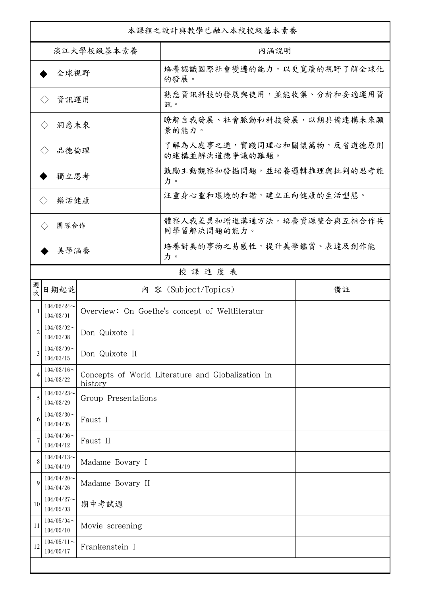| 本課程之設計與教學已融入本校校級基本素養        |                               |                     |                                                   |    |  |
|-----------------------------|-------------------------------|---------------------|---------------------------------------------------|----|--|
| 淡江大學校級基本素養                  |                               |                     | 內涵說明                                              |    |  |
| 全球視野                        |                               |                     | 培養認識國際社會變遷的能力,以更寬廣的視野了解全球化<br>的發展。                |    |  |
| 資訊運用<br>$\langle \ \rangle$ |                               |                     | 熟悉資訊科技的發展與使用,並能收集、分析和妥適運用資<br>訊。                  |    |  |
| 洞悉未來<br>$\langle \ \rangle$ |                               |                     | 瞭解自我發展、社會脈動和科技發展,以期具備建構未來願<br>景的能力。               |    |  |
| 品德倫理                        |                               |                     | 了解為人處事之道,實踐同理心和關懷萬物,反省道德原則<br>的建構並解決道德爭議的難題。      |    |  |
| 獨立思考                        |                               |                     | 鼓勵主動觀察和發掘問題,並培養邏輯推理與批判的思考能<br>力。                  |    |  |
| 樂活健康<br>$\langle \rangle$   |                               |                     | 注重身心靈和環境的和諧,建立正向健康的生活型態。                          |    |  |
| 團隊合作<br>$\langle \ \rangle$ |                               |                     | 體察人我差異和增進溝通方法,培養資源整合與互相合作共<br>同學習解決問題的能力。         |    |  |
|                             | 美學涵養                          |                     | 培養對美的事物之易感性,提升美學鑑賞、表達及創作能<br>力。                   |    |  |
|                             |                               |                     | 授課進度表                                             |    |  |
| 週<br>欤                      | 日期起訖                          |                     | 内 容 (Subject/Topics)                              | 備註 |  |
|                             | $104/02/24$ ~<br>104/03/01    |                     | Overview: On Goethe's concept of Weltliteratur    |    |  |
| 2                           | $104/03/02$ ~<br>104/03/08    | Don Quixote I       |                                                   |    |  |
| 3                           | $104/03/09$ ~<br>104/03/15    | Don Quixote II      |                                                   |    |  |
| 4                           | $104/03/16$ ~<br>104/03/22    | history             | Concepts of World Literature and Globalization in |    |  |
| 5                           | $104/03/23$ ~<br>104/03/29    | Group Presentations |                                                   |    |  |
| 6                           | $104/03/30$ ~<br>104/04/05    | Faust I             |                                                   |    |  |
|                             | $104/04/06 \sim$<br>104/04/12 | Faust II            |                                                   |    |  |
| 8                           | $104/04/13$ ~<br>104/04/19    | Madame Bovary I     |                                                   |    |  |
| 9                           | $104/04/20$ ~<br>104/04/26    | Madame Bovary II    |                                                   |    |  |
| 10                          | $104/04/27$ ~<br>104/05/03    | 期中考試週               |                                                   |    |  |
| 11                          | $104/05/04$ ~<br>104/05/10    | Movie screening     |                                                   |    |  |
| 12                          | $104/05/11$ ~<br>104/05/17    | Frankenstein I      |                                                   |    |  |
|                             |                               |                     |                                                   |    |  |